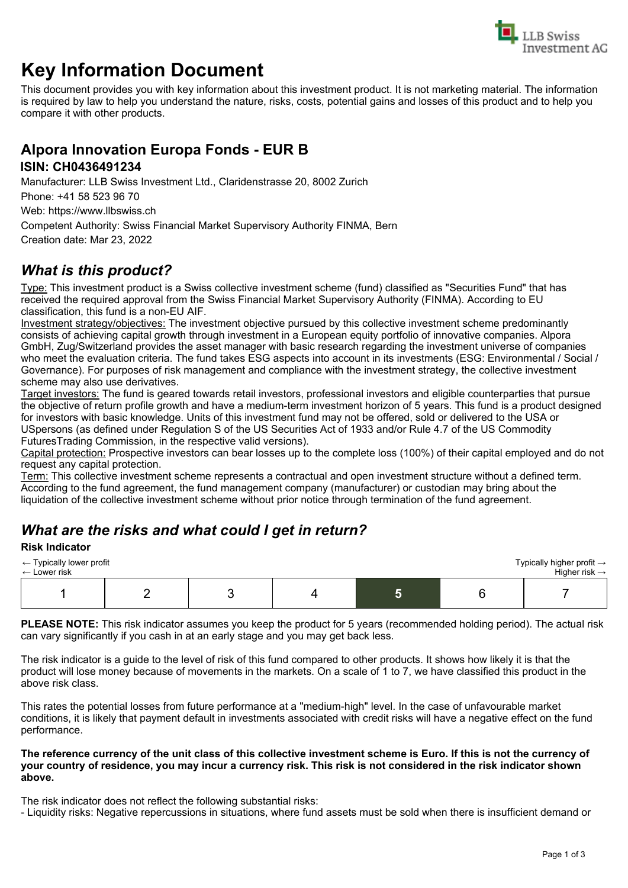

# **Key Information Document**

This document provides you with key information about this investment product. It is not marketing material. The information is required by law to help you understand the nature, risks, costs, potential gains and losses of this product and to help you compare it with other products.

## **Alpora Innovation Europa Fonds - EUR B**

#### **ISIN: CH0436491234**

Manufacturer: LLB Swiss Investment Ltd., Claridenstrasse 20, 8002 Zurich

Phone: +41 58 523 96 70

Web: https://www.llbswiss.ch

Competent Authority: Swiss Financial Market Supervisory Authority FINMA, Bern Creation date: Mar 23, 2022

## *What is this product?*

Type: This investment product is a Swiss collective investment scheme (fund) classified as "Securities Fund" that has received the required approval from the Swiss Financial Market Supervisory Authority (FINMA). According to EU classification, this fund is a non-EU AIF.

Investment strategy/objectives: The investment objective pursued by this collective investment scheme predominantly consists of achieving capital growth through investment in a European equity portfolio of innovative companies. Alpora GmbH, Zug/Switzerland provides the asset manager with basic research regarding the investment universe of companies who meet the evaluation criteria. The fund takes ESG aspects into account in its investments (ESG: Environmental / Social / Governance). For purposes of risk management and compliance with the investment strategy, the collective investment scheme may also use derivatives.

Target investors: The fund is geared towards retail investors, professional investors and eligible counterparties that pursue the objective of return profile growth and have a medium-term investment horizon of 5 years. This fund is a product designed for investors with basic knowledge. Units of this investment fund may not be offered, sold or delivered to the USA or USpersons (as defined under Regulation S of the US Securities Act of 1933 and/or Rule 4.7 of the US Commodity FuturesTrading Commission, in the respective valid versions).

Capital protection: Prospective investors can bear losses up to the complete loss (100%) of their capital employed and do not request any capital protection.

Term: This collective investment scheme represents a contractual and open investment structure without a defined term. According to the fund agreement, the fund management company (manufacturer) or custodian may bring about the liquidation of the collective investment scheme without prior notice through termination of the fund agreement.

## *What are the risks and what could I get in return?*

#### **Risk Indicator**

| $\leftarrow$ Typically lower profit<br>$\leftarrow$ Lower risk |  |  | Typically higher profit $\rightarrow$<br>Higher risk $\rightarrow$ |
|----------------------------------------------------------------|--|--|--------------------------------------------------------------------|
|                                                                |  |  |                                                                    |

**PLEASE NOTE:** This risk indicator assumes you keep the product for 5 years (recommended holding period). The actual risk can vary significantly if you cash in at an early stage and you may get back less.

The risk indicator is a guide to the level of risk of this fund compared to other products. It shows how likely it is that the product will lose money because of movements in the markets. On a scale of 1 to 7, we have classified this product in the above risk class.

This rates the potential losses from future performance at a "medium-high" level. In the case of unfavourable market conditions, it is likely that payment default in investments associated with credit risks will have a negative effect on the fund performance.

#### **The reference currency of the unit class of this collective investment scheme is Euro. If this is not the currency of your country of residence, you may incur a currency risk. This risk is not considered in the risk indicator shown above.**

The risk indicator does not reflect the following substantial risks:

- Liquidity risks: Negative repercussions in situations, where fund assets must be sold when there is insufficient demand or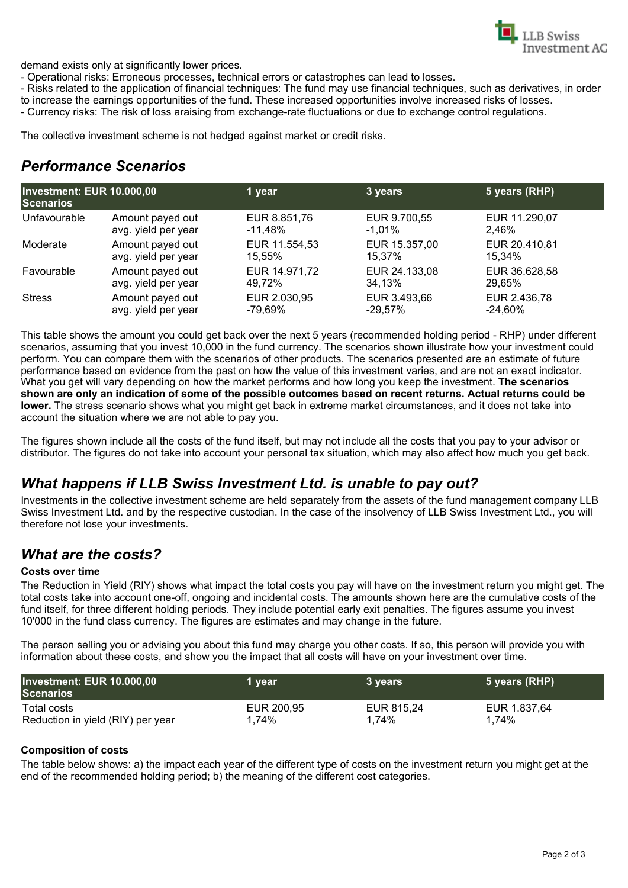

demand exists only at significantly lower prices.

- Operational risks: Erroneous processes, technical errors or catastrophes can lead to losses.

- Risks related to the application of financial techniques: The fund may use financial techniques, such as derivatives, in order to increase the earnings opportunities of the fund. These increased opportunities involve increased risks of losses.

- Currency risks: The risk of loss araising from exchange-rate fluctuations or due to exchange control regulations.

The collective investment scheme is not hedged against market or credit risks.

### *Performance Scenarios*

| Investment: EUR 10.000,00<br><b>Scenarios</b> |                     | 1 year        | 3 years       | 5 years (RHP) |
|-----------------------------------------------|---------------------|---------------|---------------|---------------|
| Unfavourable                                  | Amount payed out    | EUR 8.851,76  | EUR 9.700,55  | EUR 11.290,07 |
|                                               | avg. yield per year | -11.48%       | $-1.01\%$     | 2.46%         |
| Moderate                                      | Amount payed out    | EUR 11.554,53 | EUR 15.357,00 | EUR 20.410,81 |
|                                               | avg. yield per year | 15.55%        | 15.37%        | 15.34%        |
| Favourable                                    | Amount payed out    | EUR 14.971,72 | EUR 24.133,08 | EUR 36.628,58 |
|                                               | avg. yield per year | 49.72%        | 34.13%        | 29,65%        |
| <b>Stress</b>                                 | Amount payed out    | EUR 2.030,95  | EUR 3.493,66  | EUR 2.436,78  |
|                                               | avg. yield per year | -79.69%       | $-29.57\%$    | $-24.60\%$    |

This table shows the amount you could get back over the next 5 years (recommended holding period - RHP) under different scenarios, assuming that you invest 10,000 in the fund currency. The scenarios shown illustrate how your investment could perform. You can compare them with the scenarios of other products. The scenarios presented are an estimate of future performance based on evidence from the past on how the value of this investment varies, and are not an exact indicator. What you get will vary depending on how the market performs and how long you keep the investment. **The scenarios shown are only an indication of some of the possible outcomes based on recent returns. Actual returns could be lower.** The stress scenario shows what you might get back in extreme market circumstances, and it does not take into account the situation where we are not able to pay you.

The figures shown include all the costs of the fund itself, but may not include all the costs that you pay to your advisor or distributor. The figures do not take into account your personal tax situation, which may also affect how much you get back.

### *What happens if LLB Swiss Investment Ltd. is unable to pay out?*

Investments in the collective investment scheme are held separately from the assets of the fund management company LLB Swiss Investment Ltd. and by the respective custodian. In the case of the insolvency of LLB Swiss Investment Ltd., you will therefore not lose your investments.

### *What are the costs?*

#### **Costs over time**

The Reduction in Yield (RIY) shows what impact the total costs you pay will have on the investment return you might get. The total costs take into account one-off, ongoing and incidental costs. The amounts shown here are the cumulative costs of the fund itself, for three different holding periods. They include potential early exit penalties. The figures assume you invest 10'000 in the fund class currency. The figures are estimates and may change in the future.

The person selling you or advising you about this fund may charge you other costs. If so, this person will provide you with information about these costs, and show you the impact that all costs will have on your investment over time.

| Investment: EUR 10.000,00<br><b>Scenarios</b> | 1 year     | 3 vears    | 5 years (RHP) |
|-----------------------------------------------|------------|------------|---------------|
| Total costs                                   | EUR 200,95 | EUR 815.24 | EUR 1.837,64  |
| Reduction in yield (RIY) per year             | 1,74%      | 1,74%      | 1,74%         |

#### **Composition of costs**

The table below shows: a) the impact each year of the different type of costs on the investment return you might get at the end of the recommended holding period; b) the meaning of the different cost categories.